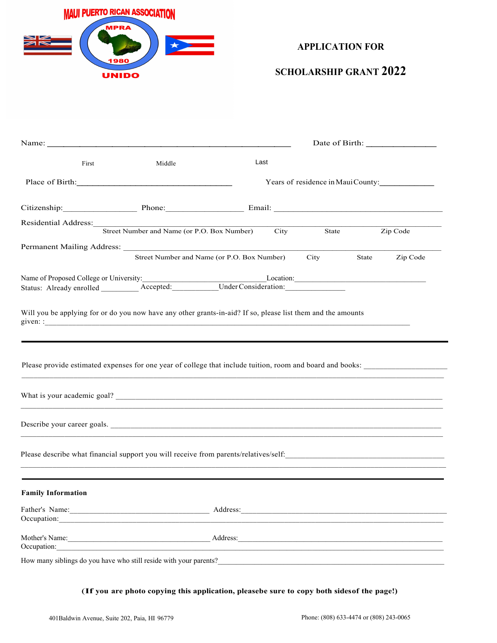

## **APPLICATION FOR**

## **SCHOLARSHIP GRANT 2022**

| First                                                                                                                                                                                                                                                                           | Middle | Last                                        |       |                                    |
|---------------------------------------------------------------------------------------------------------------------------------------------------------------------------------------------------------------------------------------------------------------------------------|--------|---------------------------------------------|-------|------------------------------------|
| Place of Birth:                                                                                                                                                                                                                                                                 |        |                                             |       | Years of residence in Maui County: |
| Citizenship: Phone: Phone: Email: Email:                                                                                                                                                                                                                                        |        |                                             |       |                                    |
| Residential Address: Street Number and Name (or P.O. Box Number) City                                                                                                                                                                                                           |        |                                             | State | Zip Code                           |
|                                                                                                                                                                                                                                                                                 |        |                                             |       |                                    |
|                                                                                                                                                                                                                                                                                 |        | Street Number and Name (or P.O. Box Number) | City  | State<br>Zip Code                  |
|                                                                                                                                                                                                                                                                                 |        |                                             |       |                                    |
| Will you be applying for or do you now have any other grants-in-aid? If so, please list them and the amounts                                                                                                                                                                    |        |                                             |       |                                    |
| Please provide estimated expenses for one year of college that include tuition, room and board and books:                                                                                                                                                                       |        |                                             |       |                                    |
|                                                                                                                                                                                                                                                                                 |        |                                             |       |                                    |
| Describe your career goals.                                                                                                                                                                                                                                                     |        |                                             |       |                                    |
|                                                                                                                                                                                                                                                                                 |        |                                             |       |                                    |
| <b>Family Information</b>                                                                                                                                                                                                                                                       |        |                                             |       |                                    |
|                                                                                                                                                                                                                                                                                 |        |                                             |       |                                    |
| Mother's Name: <u>Address:</u> Address:<br>Occupation: <u>compared and contract and contract and contract and contract and contract and contract and contract and contract and contract and contract and contract and contract and contract and contract and contract and c</u> |        |                                             |       |                                    |
|                                                                                                                                                                                                                                                                                 |        |                                             |       |                                    |

(If you are photo copying this application, pleasebe sure to copy both sides of the page!)